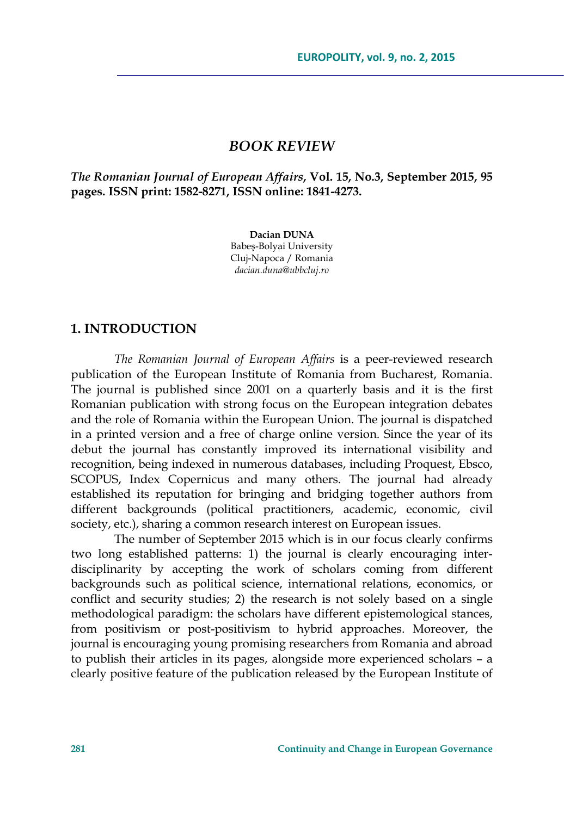### *BOOK REVIEW*

*The Romanian Journal of European Affairs***, Vol. 15, No.3, September 2015, 95 pages. ISSN print: 1582-8271, ISSN online: 1841-4273.** 

> **Dacian DUNA**  Babeş-Bolyai University Cluj-Napoca / Romania *dacian.duna@ubbcluj.ro*

#### **1. INTRODUCTION**

*The Romanian Journal of European Affairs* is a peer-reviewed research publication of the European Institute of Romania from Bucharest, Romania. The journal is published since 2001 on a quarterly basis and it is the first Romanian publication with strong focus on the European integration debates and the role of Romania within the European Union. The journal is dispatched in a printed version and a free of charge online version. Since the year of its debut the journal has constantly improved its international visibility and recognition, being indexed in numerous databases, including Proquest, Ebsco, SCOPUS, Index Copernicus and many others. The journal had already established its reputation for bringing and bridging together authors from different backgrounds (political practitioners, academic, economic, civil society, etc.), sharing a common research interest on European issues.

The number of September 2015 which is in our focus clearly confirms two long established patterns: 1) the journal is clearly encouraging interdisciplinarity by accepting the work of scholars coming from different backgrounds such as political science, international relations, economics, or conflict and security studies; 2) the research is not solely based on a single methodological paradigm: the scholars have different epistemological stances, from positivism or post-positivism to hybrid approaches. Moreover, the journal is encouraging young promising researchers from Romania and abroad to publish their articles in its pages, alongside more experienced scholars – a clearly positive feature of the publication released by the European Institute of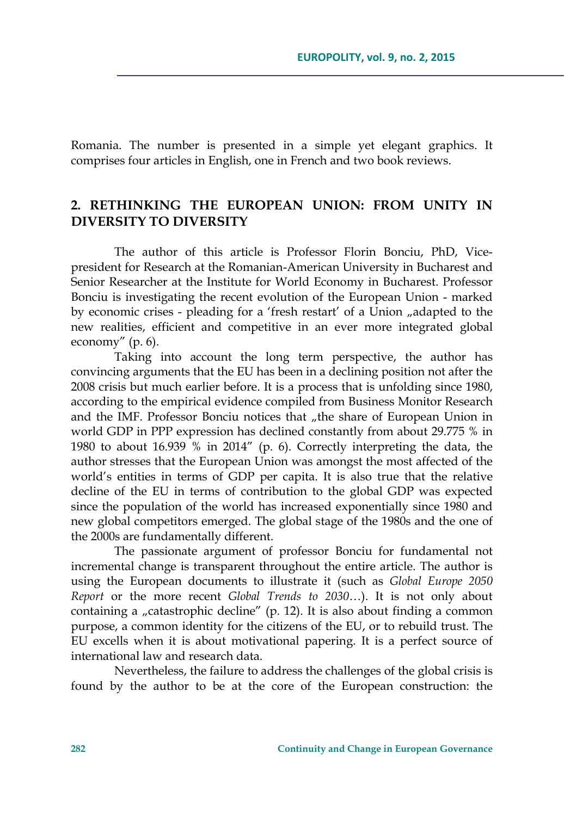Romania. The number is presented in a simple yet elegant graphics. It comprises four articles in English, one in French and two book reviews.

# **2. RETHINKING THE EUROPEAN UNION: FROM UNITY IN DIVERSITY TO DIVERSITY**

The author of this article is Professor Florin Bonciu, PhD, Vicepresident for Research at the Romanian-American University in Bucharest and Senior Researcher at the Institute for World Economy in Bucharest. Professor Bonciu is investigating the recent evolution of the European Union - marked by economic crises - pleading for a 'fresh restart' of a Union "adapted to the new realities, efficient and competitive in an ever more integrated global economy" (p. 6).

Taking into account the long term perspective, the author has convincing arguments that the EU has been in a declining position not after the 2008 crisis but much earlier before. It is a process that is unfolding since 1980, according to the empirical evidence compiled from Business Monitor Research and the IMF. Professor Bonciu notices that "the share of European Union in world GDP in PPP expression has declined constantly from about 29.775 % in 1980 to about 16.939 % in 2014" (p. 6). Correctly interpreting the data, the author stresses that the European Union was amongst the most affected of the world's entities in terms of GDP per capita. It is also true that the relative decline of the EU in terms of contribution to the global GDP was expected since the population of the world has increased exponentially since 1980 and new global competitors emerged. The global stage of the 1980s and the one of the 2000s are fundamentally different.

The passionate argument of professor Bonciu for fundamental not incremental change is transparent throughout the entire article. The author is using the European documents to illustrate it (such as *Global Europe 2050 Report* or the more recent *Global Trends to 2030*…). It is not only about containing a "catastrophic decline" (p. 12). It is also about finding a common purpose, a common identity for the citizens of the EU, or to rebuild trust. The EU excells when it is about motivational papering. It is a perfect source of international law and research data.

Nevertheless, the failure to address the challenges of the global crisis is found by the author to be at the core of the European construction: the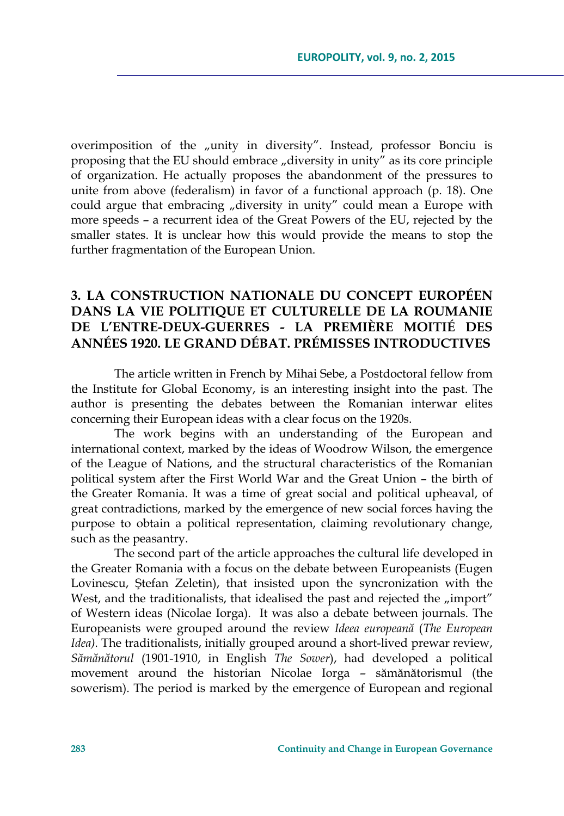overimposition of the "unity in diversity". Instead, professor Bonciu is proposing that the EU should embrace  $\mu$  diversity in unity" as its core principle of organization. He actually proposes the abandonment of the pressures to unite from above (federalism) in favor of a functional approach (p. 18). One could argue that embracing "diversity in unity" could mean a Europe with more speeds – a recurrent idea of the Great Powers of the EU, rejected by the smaller states. It is unclear how this would provide the means to stop the further fragmentation of the European Union.

# **3. LA CONSTRUCTION NATIONALE DU CONCEPT EUROPÉEN DANS LA VIE POLITIQUE ET CULTURELLE DE LA ROUMANIE DE L'ENTRE-DEUX-GUERRES - LA PREMIÈRE MOITIÉ DES ANNÉES 1920. LE GRAND DÉBAT. PRÉMISSES INTRODUCTIVES**

The article written in French by Mihai Sebe, a Postdoctoral fellow from the Institute for Global Economy, is an interesting insight into the past. The author is presenting the debates between the Romanian interwar elites concerning their European ideas with a clear focus on the 1920s.

The work begins with an understanding of the European and international context, marked by the ideas of Woodrow Wilson, the emergence of the League of Nations, and the structural characteristics of the Romanian political system after the First World War and the Great Union – the birth of the Greater Romania. It was a time of great social and political upheaval, of great contradictions, marked by the emergence of new social forces having the purpose to obtain a political representation, claiming revolutionary change, such as the peasantry.

The second part of the article approaches the cultural life developed in the Greater Romania with a focus on the debate between Europeanists (Eugen Lovinescu, Ştefan Zeletin), that insisted upon the syncronization with the West, and the traditionalists, that idealised the past and rejected the "import" of Western ideas (Nicolae Iorga). It was also a debate between journals. The Europeanists were grouped around the review *Ideea europeană* (*The European Idea).* The traditionalists, initially grouped around a short-lived prewar review, *Sămănătorul* (1901-1910, in English *The Sower*), had developed a political movement around the historian Nicolae Iorga – sămănătorismul (the sowerism). The period is marked by the emergence of European and regional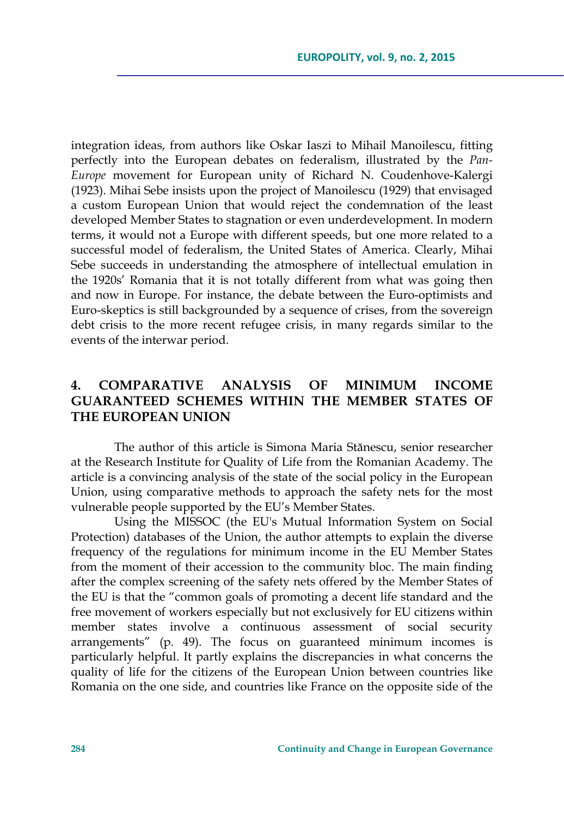integration ideas, from authors like Oskar Iaszi to Mihail Manoilescu, fitting perfectly into the European debates on federalism, illustrated by the *Pan-Europe* movement for European unity of Richard N. Coudenhove-Kalergi (1923). Mihai Sebe insists upon the project of Manoilescu (1929) that envisaged a custom European Union that would reject the condemnation of the least developed Member States to stagnation or even underdevelopment. In modern terms, it would not a Europe with different speeds, but one more related to a successful model of federalism, the United States of America. Clearly, Mihai Sebe succeeds in understanding the atmosphere of intellectual emulation in the 1920s' Romania that it is not totally different from what was going then and now in Europe. For instance, the debate between the Euro-optimists and Euro-skeptics is still backgrounded by a sequence of crises, from the sovereign debt crisis to the more recent refugee crisis, in many regards similar to the events of the interwar period.

# **4. COMPARATIVE ANALYSIS OF MINIMUM INCOME GUARANTEED SCHEMES WITHIN THE MEMBER STATES OF THE EUROPEAN UNION**

The author of this article is Simona Maria Stănescu, senior researcher at the Research Institute for Quality of Life from the Romanian Academy. The article is a convincing analysis of the state of the social policy in the European Union, using comparative methods to approach the safety nets for the most vulnerable people supported by the EU's Member States.

Using the MISSOC (the EU's Mutual Information System on Social Protection) databases of the Union, the author attempts to explain the diverse frequency of the regulations for minimum income in the EU Member States from the moment of their accession to the community bloc. The main finding after the complex screening of the safety nets offered by the Member States of the EU is that the "common goals of promoting a decent life standard and the free movement of workers especially but not exclusively for EU citizens within member states involve a continuous assessment of social security arrangements" (p. 49). The focus on guaranteed minimum incomes is particularly helpful. It partly explains the discrepancies in what concerns the quality of life for the citizens of the European Union between countries like Romania on the one side, and countries like France on the opposite side of the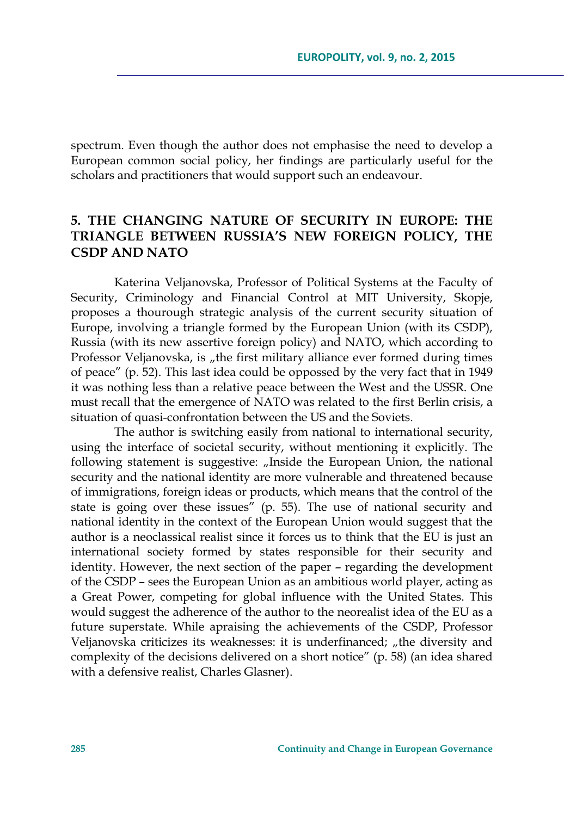spectrum. Even though the author does not emphasise the need to develop a European common social policy, her findings are particularly useful for the scholars and practitioners that would support such an endeavour.

### **5. THE CHANGING NATURE OF SECURITY IN EUROPE: THE TRIANGLE BETWEEN RUSSIA'S NEW FOREIGN POLICY, THE CSDP AND NATO**

Katerina Veljanovska, Professor of Political Systems at the Faculty of Security, Criminology and Financial Control at MIT University, Skopje, proposes a thourough strategic analysis of the current security situation of Europe, involving a triangle formed by the European Union (with its CSDP), Russia (with its new assertive foreign policy) and NATO, which according to Professor Veljanovska, is "the first military alliance ever formed during times of peace" (p. 52). This last idea could be oppossed by the very fact that in 1949 it was nothing less than a relative peace between the West and the USSR. One must recall that the emergence of NATO was related to the first Berlin crisis, a situation of quasi-confrontation between the US and the Soviets.

The author is switching easily from national to international security, using the interface of societal security, without mentioning it explicitly. The following statement is suggestive: "Inside the European Union, the national security and the national identity are more vulnerable and threatened because of immigrations, foreign ideas or products, which means that the control of the state is going over these issues<sup>"</sup> (p. 55). The use of national security and national identity in the context of the European Union would suggest that the author is a neoclassical realist since it forces us to think that the EU is just an international society formed by states responsible for their security and identity. However, the next section of the paper – regarding the development of the CSDP – sees the European Union as an ambitious world player, acting as a Great Power, competing for global influence with the United States. This would suggest the adherence of the author to the neorealist idea of the EU as a future superstate. While apraising the achievements of the CSDP, Professor Veljanovska criticizes its weaknesses: it is underfinanced; "the diversity and complexity of the decisions delivered on a short notice" (p. 58) (an idea shared with a defensive realist, Charles Glasner).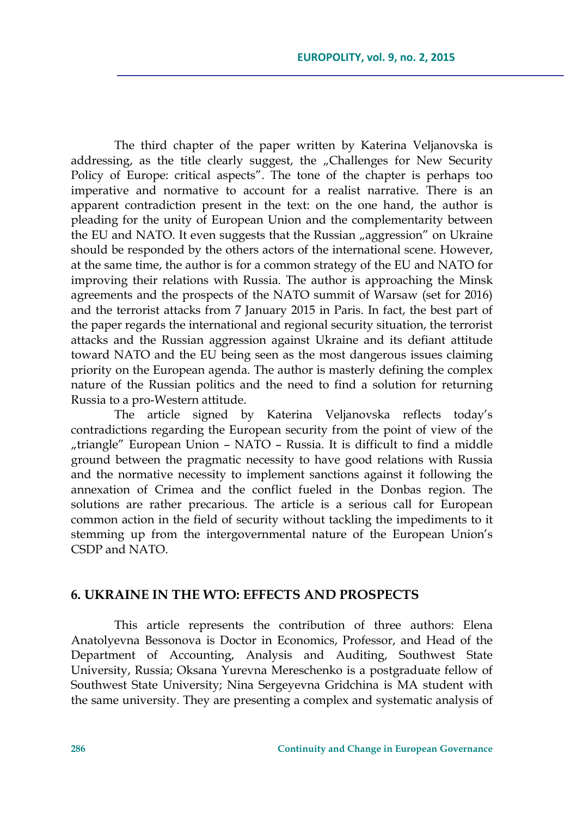The third chapter of the paper written by Katerina Veljanovska is addressing, as the title clearly suggest, the "Challenges for New Security Policy of Europe: critical aspects". The tone of the chapter is perhaps too imperative and normative to account for a realist narrative. There is an apparent contradiction present in the text: on the one hand, the author is pleading for the unity of European Union and the complementarity between the EU and NATO. It even suggests that the Russian "aggression" on Ukraine should be responded by the others actors of the international scene. However, at the same time, the author is for a common strategy of the EU and NATO for improving their relations with Russia. The author is approaching the Minsk agreements and the prospects of the NATO summit of Warsaw (set for 2016) and the terrorist attacks from 7 January 2015 in Paris. In fact, the best part of the paper regards the international and regional security situation, the terrorist attacks and the Russian aggression against Ukraine and its defiant attitude toward NATO and the EU being seen as the most dangerous issues claiming priority on the European agenda. The author is masterly defining the complex nature of the Russian politics and the need to find a solution for returning Russia to a pro-Western attitude.

The article signed by Katerina Veljanovska reflects today's contradictions regarding the European security from the point of view of the "triangle" European Union – NATO – Russia. It is difficult to find a middle ground between the pragmatic necessity to have good relations with Russia and the normative necessity to implement sanctions against it following the annexation of Crimea and the conflict fueled in the Donbas region. The solutions are rather precarious. The article is a serious call for European common action in the field of security without tackling the impediments to it stemming up from the intergovernmental nature of the European Union's CSDP and NATO.

#### **6. UKRAINE IN THE WTO: EFFECTS AND PROSPECTS**

This article represents the contribution of three authors: Elena Anatolyevna Bessonova is Doctor in Economics, Professor, and Head of the Department of Accounting, Analysis and Auditing, Southwest State University, Russia; Оksana Yurevna Mereschenko is a postgraduate fellow of Southwest State University; Nina Sergeyevna Gridchina is MA student with the same university. They are presenting a complex and systematic analysis of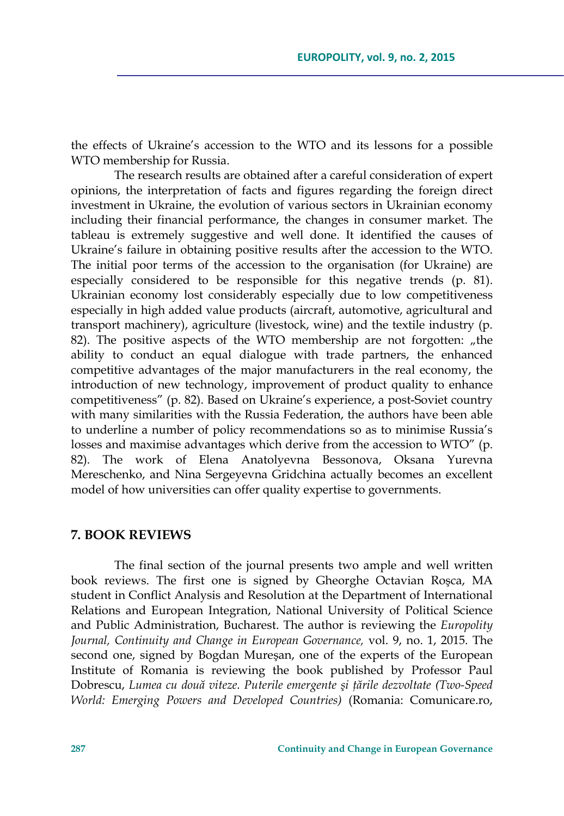the effects of Ukraine's accession to the WTO and its lessons for a possible WTO membership for Russia.

The research results are obtained after a careful consideration of expert opinions, the interpretation of facts and figures regarding the foreign direct investment in Ukraine, the evolution of various sectors in Ukrainian economy including their financial performance, the changes in consumer market. The tableau is extremely suggestive and well done. It identified the causes of Ukraine's failure in obtaining positive results after the accession to the WTO. The initial poor terms of the accession to the organisation (for Ukraine) are especially considered to be responsible for this negative trends (p. 81). Ukrainian economy lost considerably especially due to low competitiveness especially in high added value products (aircraft, automotive, agricultural and transport machinery), agriculture (livestock, wine) and the textile industry (p. 82). The positive aspects of the WTO membership are not forgotten: "the ability to conduct an equal dialogue with trade partners, the enhanced competitive advantages of the major manufacturers in the real economy, the introduction of new technology, improvement of product quality to enhance competitiveness" (p. 82). Based on Ukraine's experience, a post-Soviet country with many similarities with the Russia Federation, the authors have been able to underline a number of policy recommendations so as to minimise Russia's losses and maximise advantages which derive from the accession to WTO" (p. 82). The work of Elena Anatolyevna Bessonova, Оksana Yurevna Mereschenko, and Nina Sergeyevna Gridchina actually becomes an excellent model of how universities can offer quality expertise to governments.

#### **7. BOOK REVIEWS**

The final section of the journal presents two ample and well written book reviews. The first one is signed by Gheorghe Octavian Roşca, MA student in Conflict Analysis and Resolution at the Department of International Relations and European Integration, National University of Political Science and Public Administration, Bucharest. The author is reviewing the *Europolity Journal, Continuity and Change in European Governance,* vol. 9, no. 1, 2015. The second one, signed by Bogdan Mureşan, one of the experts of the European Institute of Romania is reviewing the book published by Professor Paul Dobrescu, *Lumea cu două viteze. Puterile emergente şi ţările dezvoltate (Two-Speed World: Emerging Powers and Developed Countries)* (Romania: Comunicare.ro,